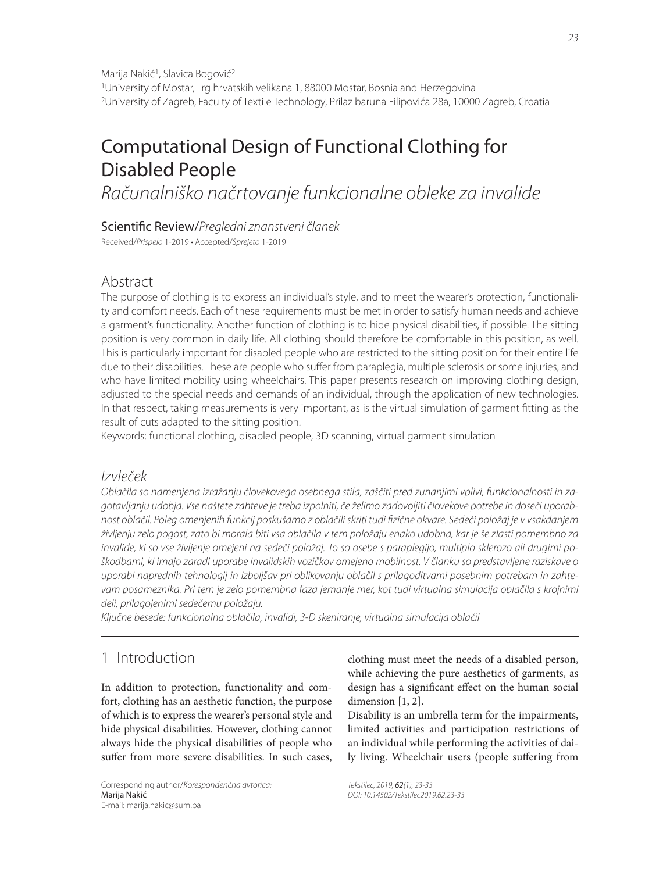# Computational Design of Functional Clothing for Disabled People

Računalniško načrtovanje funkcionalne obleke za invalide

Scientific Review/Pregledni znanstveni članek

Received/Prispelo 1-2019 • Accepted/Sprejeto 1-2019

#### Abstract

The purpose of clothing is to express an individual's style, and to meet the wearer's protection, functionality and comfort needs. Each of these requirements must be met in order to satisfy human needs and achieve a garment's functionality. Another function of clothing is to hide physical disabilities, if possible. The sitting position is very common in daily life. All clothing should therefore be comfortable in this position, as well. This is particularly important for disabled people who are restricted to the sitting position for their entire life due to their disabilities. These are people who suffer from paraplegia, multiple sclerosis or some injuries, and who have limited mobility using wheelchairs. This paper presents research on improving clothing design, adjusted to the special needs and demands of an individual, through the application of new technologies. In that respect, taking measurements is very important, as is the virtual simulation of garment fitting as the result of cuts adapted to the sitting position.

Keywords: functional clothing, disabled people, 3D scanning, virtual garment simulation

#### Izvleček

Oblačila so namenjena izražanju človekovega osebnega stila, zaščiti pred zunanjimi vplivi, funkcionalnosti in zagotavljanju udobja. Vse naštete zahteve je treba izpolniti, če želimo zadovoljiti človekove potrebe in doseči uporabnost oblačil. Poleg omenjenih funkcij poskušamo z oblačili skriti tudi fizične okvare. Sedeči položaj je v vsakdanjem življenju zelo pogost, zato bi morala biti vsa oblačila v tem položaju enako udobna, kar je še zlasti pomembno za invalide, ki so vse življenje omejeni na sedeči položaj. To so osebe s paraplegijo, multiplo sklerozo ali drugimi poškodbami, ki imajo zaradi uporabe invalidskih vozičkov omejeno mobilnost. V članku so predstavljene raziskave o uporabi naprednih tehnologij in izboljšav pri oblikovanju oblačil s prilagoditvami posebnim potrebam in zahtevam posameznika. Pri tem je zelo pomembna faza jemanje mer, kot tudi virtualna simulacija oblačila s krojnimi deli, prilagojenimi sedečemu položaju.

Ključne besede: funkcionalna oblačila, invalidi, 3-D skeniranje, virtualna simulacija oblačil

## 1 Introduction

In addition to protection, functionality and comfort, clothing has an aesthetic function, the purpose of which is to express the wearer's personal style and hide physical disabilities. However, clothing cannot always hide the physical disabilities of people who suffer from more severe disabilities. In such cases,

Corresponding author/Korespondenčna avtorica: Marija Nakić E-mail: marija.nakic@sum.ba

clothing must meet the needs of a disabled person, while achieving the pure aesthetics of garments, as design has a significant effect on the human social dimension [1, 2].

Disability is an umbrella term for the impairments, limited activities and participation restrictions of an individual while performing the activities of daily living. Wheelchair users (people suffering from

Tekstilec, 2019, 62(1), 23-33 DOI: 10.14502/Tekstilec2019.62.23-33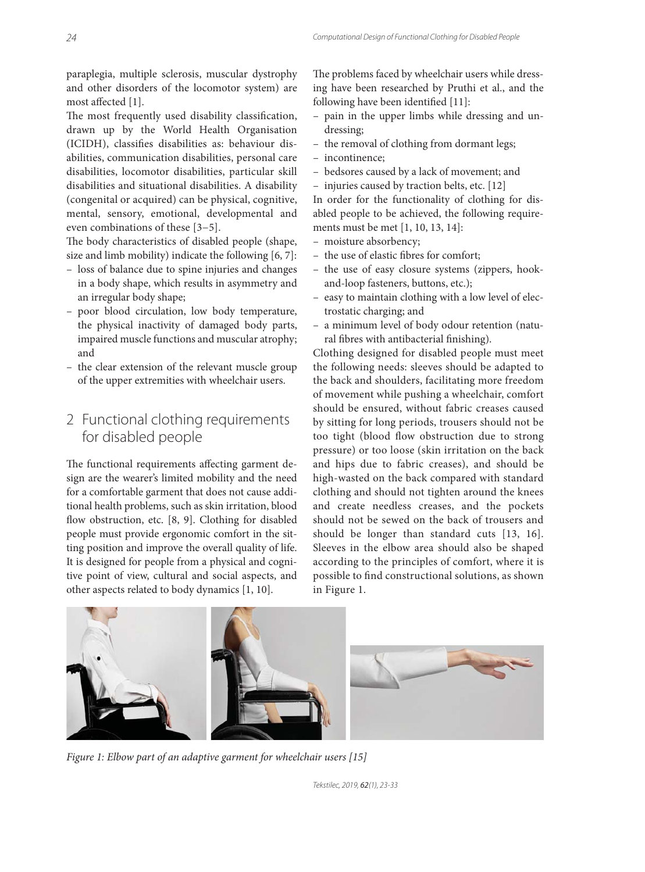paraplegia, multiple sclerosis, muscular dystrophy and other disorders of the locomotor system) are most affected [1].

The most frequently used disability classification, drawn up by the World Health Organisation (ICIDH), classifies disabilities as: behaviour disabilities, communication disabilities, personal care disabilities, locomotor disabilities, particular skill disabilities and situational disabilities. A disability (congenital or acquired) can be physical, cognitive, mental, sensory, emotional, developmental and even combinations of these [3−5].

The body characteristics of disabled people (shape, size and limb mobility) indicate the following [6, 7]:

- loss of balance due to spine injuries and changes in a body shape, which results in asymmetry and an irregular body shape;
- poor blood circulation, low body temperature, the physical inactivity of damaged body parts, impaired muscle functions and muscular atrophy; and
- the clear extension of the relevant muscle group of the upper extremities with wheelchair users.

#### 2 Functional clothing requirements for disabled people

The functional requirements affecting garment design are the wearer's limited mobility and the need for a comfortable garment that does not cause additional health problems, such as skin irritation, blood flow obstruction, etc. [8, 9]. Clothing for disabled people must provide ergonomic comfort in the sitting position and improve the overall quality of life. It is designed for people from a physical and cognitive point of view, cultural and social aspects, and other aspects related to body dynamics [1, 10].

The problems faced by wheelchair users while dressing have been researched by Pruthi et al., and the following have been identified [11]:

- pain in the upper limbs while dressing and undressing;
- the removal of clothing from dormant legs;
- incontinence;
- bedsores caused by a lack of movement; and
- injuries caused by traction belts, etc. [12]

In order for the functionality of clothing for disabled people to be achieved, the following requirements must be met [1, 10, 13, 14]:

- moisture absorbency;
- the use of elastic fibres for comfort;
- the use of easy closure systems (zippers, hookand-loop fasteners, buttons, etc.);
- easy to maintain clothing with a low level of electrostatic charging; and
- a minimum level of body odour retention (natural fibres with antibacterial finishing).

Clothing designed for disabled people must meet the following needs: sleeves should be adapted to the back and shoulders, facilitating more freedom of movement while pushing a wheelchair, comfort should be ensured, without fabric creases caused by sitting for long periods, trousers should not be too tight (blood flow obstruction due to strong pressure) or too loose (skin irritation on the back and hips due to fabric creases), and should be high-wasted on the back compared with standard clothing and should not tighten around the knees and create needless creases, and the pockets should not be sewed on the back of trousers and should be longer than standard cuts [13, 16]. Sleeves in the elbow area should also be shaped according to the principles of comfort, where it is possible to find constructional solutions, as shown in Figure 1.



*Figure 1: Elbow part of an adaptive garment for wheelchair users [15]*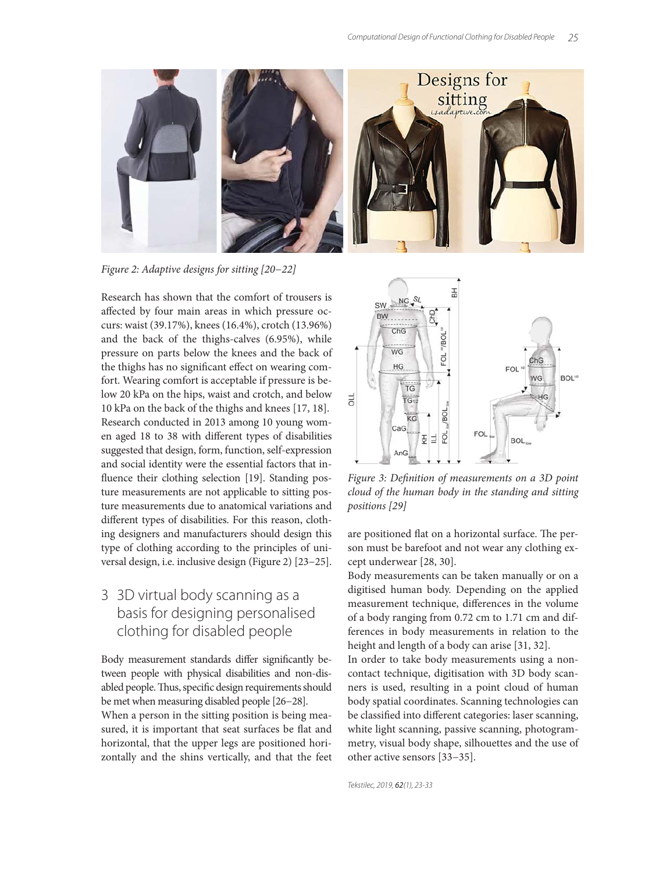

*Figure 2: Adaptive designs for sitting [20−22]*

Research has shown that the comfort of trousers is affected by four main areas in which pressure occurs: waist (39.17%), knees (16.4%), crotch (13.96%) and the back of the thighs-calves (6.95%), while pressure on parts below the knees and the back of the thighs has no significant effect on wearing comfort. Wearing comfort is acceptable if pressure is below 20 kPa on the hips, waist and crotch, and below 10 kPa on the back of the thighs and knees [17, 18]. Research conducted in 2013 among 10 young women aged 18 to 38 with different types of disabilities suggested that design, form, function, self-expression and social identity were the essential factors that influence their clothing selection [19]. Standing posture measurements are not applicable to sitting posture measurements due to anatomical variations and different types of disabilities. For this reason, clothing designers and manufacturers should design this type of clothing according to the principles of universal design, i.e. inclusive design (Figure 2) [23−25].

### 3 3D virtual body scanning as a basis for designing personalised clothing for disabled people

Body measurement standards differ significantly between people with physical disabilities and non-disabled people. Thus, specific design requirements should be met when measuring disabled people [26−28]. When a person in the sitting position is being measured, it is important that seat surfaces be flat and horizontal, that the upper legs are positioned horizontally and the shins vertically, and that the feet



Figure 3: Definition of measurements on a 3D point *cloud of the human body in the standing and sitting positions [29]*

are positioned flat on a horizontal surface. The person must be barefoot and not wear any clothing except underwear [28, 30].

Body measurements can be taken manually or on a digitised human body. Depending on the applied measurement technique, differences in the volume of a body ranging from 0.72 cm to 1.71 cm and differences in body measurements in relation to the height and length of a body can arise [31, 32].

In order to take body measurements using a noncontact technique, digitisation with 3D body scanners is used, resulting in a point cloud of human body spatial coordinates. Scanning technologies can be classified into different categories: laser scanning, white light scanning, passive scanning, photogrammetry, visual body shape, silhouettes and the use of other active sensors [33−35].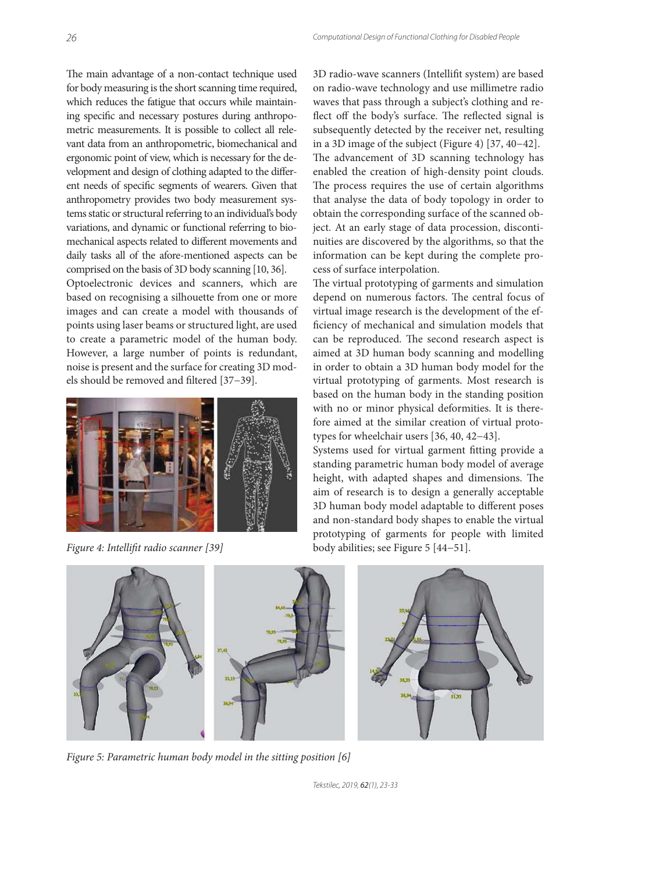The main advantage of a non-contact technique used for body measuring is the short scanning time required, which reduces the fatigue that occurs while maintaining specific and necessary postures during anthropometric measurements. It is possible to collect all relevant data from an anthropometric, biomechanical and ergonomic point of view, which is necessary for the development and design of clothing adapted to the different needs of specific segments of wearers. Given that anthropometry provides two body measurement systems static or structural referring to an individual's body variations, and dynamic or functional referring to biomechanical aspects related to different movements and daily tasks all of the afore-mentioned aspects can be comprised on the basis of 3D body scanning [10, 36].

Optoelectronic devices and scanners, which are based on recognising a silhouette from one or more images and can create a model with thousands of points using laser beams or structured light, are used to create a parametric model of the human body. However, a large number of points is redundant, noise is present and the surface for creating 3D models should be removed and filtered [37–39].



3D radio-wave scanners (Intellifit system) are based on radio-wave technology and use millimetre radio waves that pass through a subject's clothing and reflect off the body's surface. The reflected signal is subsequently detected by the receiver net, resulting in a 3D image of the subject (Figure 4) [37, 40−42]. The advancement of 3D scanning technology has enabled the creation of high-density point clouds. The process requires the use of certain algorithms that analyse the data of body topology in order to obtain the corresponding surface of the scanned object. At an early stage of data procession, discontinuities are discovered by the algorithms, so that the information can be kept during the complete process of surface interpolation.

The virtual prototyping of garments and simulation depend on numerous factors. The central focus of virtual image research is the development of the efficiency of mechanical and simulation models that can be reproduced. The second research aspect is aimed at 3D human body scanning and modelling in order to obtain a 3D human body model for the virtual prototyping of garments. Most research is based on the human body in the standing position with no or minor physical deformities. It is therefore aimed at the similar creation of virtual prototypes for wheelchair users [36, 40, 42−43].

Systems used for virtual garment fitting provide a standing parametric human body model of average height, with adapted shapes and dimensions. The aim of research is to design a generally acceptable 3D human body model adaptable to different poses and non-standard body shapes to enable the virtual prototyping of garments for people with limited *Figure 4: Intellifi t radio scanner [39]* body abilities; see Figure 5 [44−51].



*Figure 5: Parametric human body model in the sitting position [6]*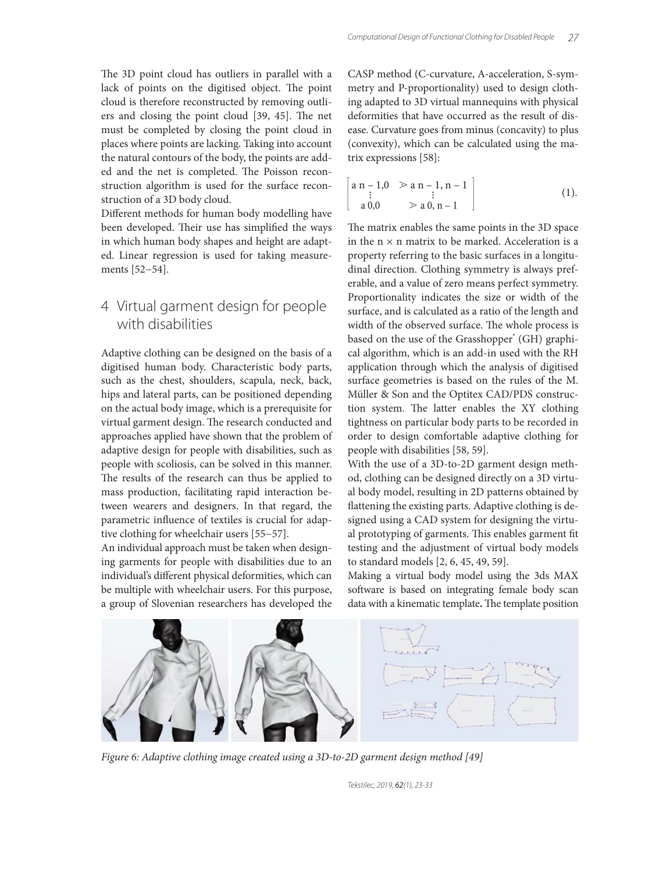The 3D point cloud has outliers in parallel with a lack of points on the digitised object. The point cloud is therefore reconstructed by removing outliers and closing the point cloud [39, 45]. The net must be completed by closing the point cloud in places where points are lacking. Taking into account the natural contours of the body, the points are added and the net is completed. The Poisson reconstruction algorithm is used for the surface reconstruction of a 3D body cloud.

Different methods for human body modelling have been developed. Their use has simplified the ways in which human body shapes and height are adapted. Linear regression is used for taking measurements [52−54].

#### 4 Virtual garment design for people with disabilities

Adaptive clothing can be designed on the basis of a digitised human body. Characteristic body parts, such as the chest, shoulders, scapula, neck, back, hips and lateral parts, can be positioned depending on the actual body image, which is a prerequisite for virtual garment design. The research conducted and approaches applied have shown that the problem of adaptive design for people with disabilities, such as people with scoliosis, can be solved in this manner. The results of the research can thus be applied to mass production, facilitating rapid interaction between wearers and designers. In that regard, the parametric influence of textiles is crucial for adaptive clothing for wheelchair users [55−57].

An individual approach must be taken when designing garments for people with disabilities due to an individual's different physical deformities, which can be multiple with wheelchair users. For this purpose, a group of Slovenian researchers has developed the CASP method (C-curvature, A-acceleration, S-symmetry and P-proportionality) used to design clothing adapted to 3D virtual mannequins with physical deformities that have occurred as the result of disease. Curvature goes from minus (concavity) to plus (convexity), which can be calculated using the matrix expressions [58]:

$$
\begin{bmatrix}\n a n - 1, 0 & > a n - 1, n - 1 \\
\vdots & \vdots & \\
a 0, 0 & > a 0, n - 1\n\end{bmatrix} \tag{1}
$$

The matrix enables the same points in the 3D space in the  $n \times n$  matrix to be marked. Acceleration is a property referring to the basic surfaces in a longitudinal direction. Clothing symmetry is always preferable, and a value of zero means perfect symmetry. Proportionality indicates the size or width of the surface, and is calculated as a ratio of the length and width of the observed surface. The whole process is based on the use of the Grasshopper® (GH) graphical algorithm, which is an add-in used with the RH application through which the analysis of digitised surface geometries is based on the rules of the M. Müller & Son and the Optitex CAD/PDS construction system. The latter enables the XY clothing tightness on particular body parts to be recorded in order to design comfortable adaptive clothing for people with disabilities [58, 59].

With the use of a 3D-to-2D garment design method, clothing can be designed directly on a 3D virtual body model, resulting in 2D patterns obtained by flattening the existing parts. Adaptive clothing is designed using a CAD system for designing the virtual prototyping of garments. This enables garment fit testing and the adjustment of virtual body models to standard models [2, 6, 45, 49, 59].

Making a virtual body model using the 3ds MAX software is based on integrating female body scan data with a kinematic template. The template position



*Figure 6: Adaptive clothing image created using a 3D-to-2D garment design method [49]*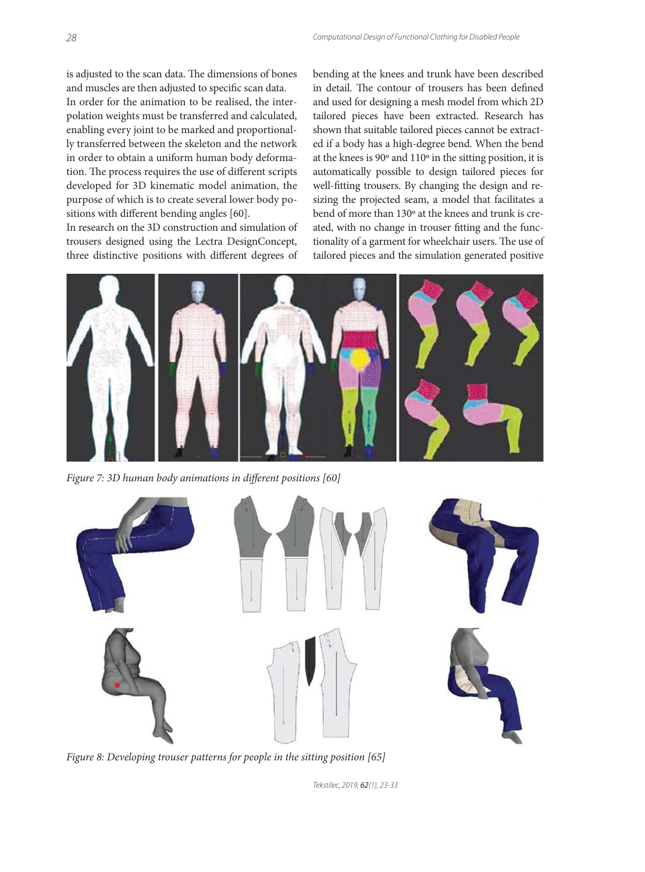is adjusted to the scan data. The dimensions of bones and muscles are then adjusted to specific scan data.

In order for the animation to be realised, the interpolation weights must be transferred and calculated, enabling every joint to be marked and proportionally transferred between the skeleton and the network in order to obtain a uniform human body deformation. The process requires the use of different scripts developed for 3D kinematic model animation, the purpose of which is to create several lower body positions with different bending angles [60].

In research on the 3D construction and simulation of trousers designed using the Lectra DesignConcept, three distinctive positions with different degrees of bending at the knees and trunk have been described in detail. The contour of trousers has been defined and used for designing a mesh model from which 2D tailored pieces have been extracted. Research has shown that suitable tailored pieces cannot be extracted if a body has a high-degree bend. When the bend at the knees is 90º and 110º in the sitting position, it is automatically possible to design tailored pieces for well-fitting trousers. By changing the design and resizing the projected seam, a model that facilitates a bend of more than 130º at the knees and trunk is created, with no change in trouser fitting and the functionality of a garment for wheelchair users. The use of tailored pieces and the simulation generated positive



Figure 7: 3D human body animations in different positions [60]



*Figure 8: Developing trouser patterns for people in the sitting position [65]*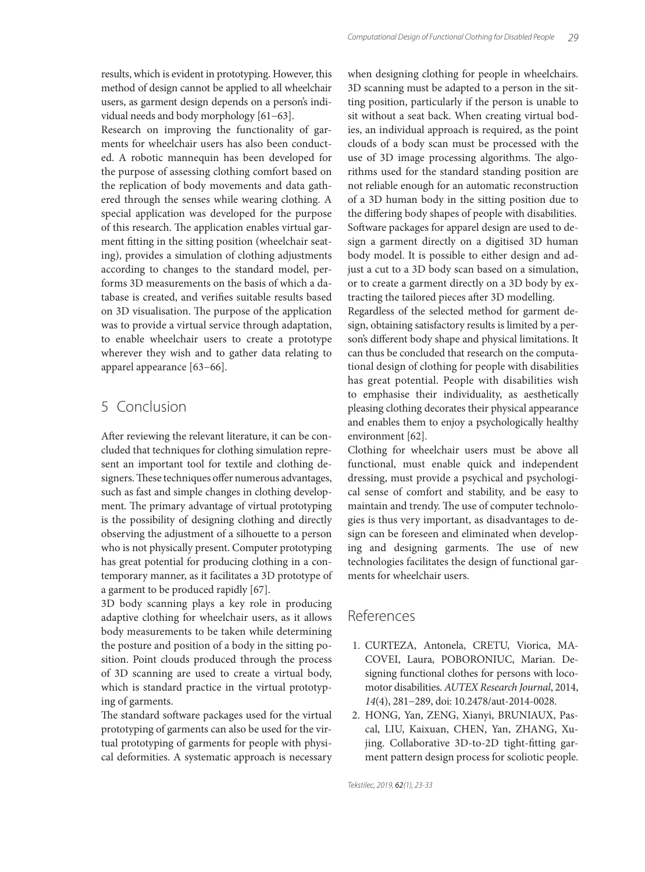results, which is evident in prototyping. However, this method of design cannot be applied to all wheelchair users, as garment design depends on a person's individual needs and body morphology [61−63].

Research on improving the functionality of garments for wheelchair users has also been conducted. A robotic mannequin has been developed for the purpose of assessing clothing comfort based on the replication of body movements and data gathered through the senses while wearing clothing. A special application was developed for the purpose of this research. The application enables virtual garment fitting in the sitting position (wheelchair seating), provides a simulation of clothing adjustments according to changes to the standard model, performs 3D measurements on the basis of which a database is created, and verifies suitable results based on 3D visualisation. The purpose of the application was to provide a virtual service through adaptation, to enable wheelchair users to create a prototype wherever they wish and to gather data relating to apparel appearance [63−66].

#### 5 Conclusion

After reviewing the relevant literature, it can be concluded that techniques for clothing simulation represent an important tool for textile and clothing designers. These techniques offer numerous advantages, such as fast and simple changes in clothing development. The primary advantage of virtual prototyping is the possibility of designing clothing and directly observing the adjustment of a silhouette to a person who is not physically present. Computer prototyping has great potential for producing clothing in a contemporary manner, as it facilitates a 3D prototype of a garment to be produced rapidly [67].

3D body scanning plays a key role in producing adaptive clothing for wheelchair users, as it allows body measurements to be taken while determining the posture and position of a body in the sitting position. Point clouds produced through the process of 3D scanning are used to create a virtual body, which is standard practice in the virtual prototyping of garments.

The standard software packages used for the virtual prototyping of garments can also be used for the virtual prototyping of garments for people with physical deformities. A systematic approach is necessary when designing clothing for people in wheelchairs. 3D scanning must be adapted to a person in the sitting position, particularly if the person is unable to sit without a seat back. When creating virtual bodies, an individual approach is required, as the point clouds of a body scan must be processed with the use of 3D image processing algorithms. The algorithms used for the standard standing position are not reliable enough for an automatic reconstruction of a 3D human body in the sitting position due to the differing body shapes of people with disabilities. Software packages for apparel design are used to design a garment directly on a digitised 3D human body model. It is possible to either design and adjust a cut to a 3D body scan based on a simulation, or to create a garment directly on a 3D body by extracting the tailored pieces after 3D modelling. Regardless of the selected method for garment de-

sign, obtaining satisfactory results is limited by a person's different body shape and physical limitations. It can thus be concluded that research on the computational design of clothing for people with disabilities has great potential. People with disabilities wish to emphasise their individuality, as aesthetically pleasing clothing decorates their physical appearance and enables them to enjoy a psychologically healthy environment [62].

Clothing for wheelchair users must be above all functional, must enable quick and independent dressing, must provide a psychical and psychological sense of comfort and stability, and be easy to maintain and trendy. The use of computer technologies is thus very important, as disadvantages to design can be foreseen and eliminated when developing and designing garments. The use of new technologies facilitates the design of functional garments for wheelchair users.

#### References

- 1. CURTEZA, Antonela, CRETU, Viorica, MA-COVEI, Laura, POBORONIUC, Marian. Designing functional clothes for persons with locomotor disabilities. *AUTEX Research Journal*, 2014, *14*(4), 281−289, doi: 10.2478/aut-2014-0028.
- 2. HONG, Yan, ZENG, Xianyi, BRUNIAUX, Pascal, LIU, Kaixuan, CHEN, Yan, ZHANG, Xujing. Collaborative 3D-to-2D tight-fitting garment pattern design process for scoliotic people.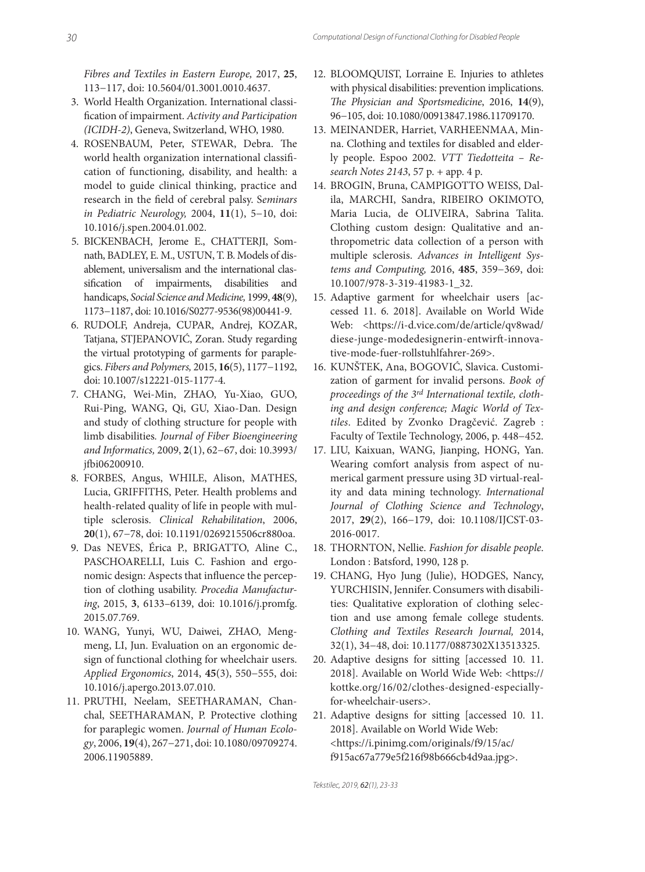*Fibres and Textiles in Eastern Europe,* 2017, **25**, 113−117, doi: 10.5604/01.3001.0010.4637.

- 3. World Health Organization. International classification of impairment. Activity and Participation *(ICIDH-2)*, Geneva, Switzerland, WHO, 1980.
- 4. ROSENBAUM, Peter, STEWAR, Debra. The world health organization international classification of functioning, disability, and health: a model to guide clinical thinking, practice and research in the field of cerebral palsy. Seminars *in Pediatric Neurology,* 2004, **11**(1), 5−10, doi: 10.1016/j.spen.2004.01.002.
- 5. BICKENBACH, Jerome E., CHATTERJI, Somnath, BADLEY, E. M., USTUN, T. B. Models of disablement, universalism and the international classification of impairments, disabilities and handicaps, *Social Science and Medicine,* 1999, **48**(9), 1173−1187, doi: 10.1016/S0277-9536(98)00441-9.
- 6. RUDOLF, Andreja, CUPAR, Andrej, KOZAR, Tatjana, STJEPANOVIĆ, Zoran. Study regarding the virtual prototyping of garments for paraplegics. *Fibers and Polymers,* 2015, **16**(5), 1177−1192, doi: 10.1007/s12221-015-1177-4.
- 7. CHANG, Wei-Min, ZHAO, Yu-Xiao, GUO, Rui-Ping, WANG, Qi, GU, Xiao-Dan. Design and study of clothing structure for people with limb disabilities*. Journal of Fiber Bioengineering and Informatics,* 2009, **2**(1), 62−67, doi: 10.3993/ jfb i06200910.
- 8. FORBES, Angus, WHILE, Alison, MATHES, Lucia, GRIFFITHS, Peter. Health problems and health-related quality of life in people with multiple sclerosis. *Clinical Rehabilitation*, 2006, **20**(1), 67−78, doi: 10.1191/0269215506cr880oa.
- 9. Das NEVES, Érica P., BRIGATTO, Aline C., PASCHOARELLI, Luis C. Fashion and ergonomic design: Aspects that influence the perception of clothing usability. *Procedia Manufacturing*, 2015, **3**, 6133–6139, doi: 10.1016/j.promfg. 2015.07.769.
- 10. WANG, Yunyi, WU, Daiwei, ZHAO, Mengmeng, LI, Jun. Evaluation on an ergonomic design of functional clothing for wheelchair users. *Applied Ergonomics*, 2014, **45**(3), 550−555, doi: 10.1016/j.apergo.2013.07.010.
- 11. PRUTHI, Neelam, SEETHARAMAN, Chanchal, SEETHARAMAN, P. Protective clothing for paraplegic women. *Journal of Human Ecology*, 2006, **19**(4), 267−271, doi: 10.1080/09709274. 2006.11905889.
- 12. BLOOMQUIST, Lorraine E. Injuries to athletes with physical disabilities: prevention implications. *The Physician and Sportsmedicine*, 2016, 14(9), 96−105, doi: 10.1080/00913847.1986.11709170.
- 13. MEINANDER, Harriet, VARHEENMAA, Minna. Clothing and textiles for disabled and elderly people. Espoo 2002. *VTT Tiedotteita – Research Notes 2143*, 57 p. + app. 4 p.
- 14. BROGIN, Bruna, CAMPIGOTTO WEISS, Dalila, MARCHI, Sandra, RIBEIRO OKIMOTO, Maria Lucia, de OLIVEIRA, Sabrina Talita. Clothing custom design: Qualitative and anthropometric data collection of a person with multiple sclerosis. *Advances in Intelligent Systems and Computing,* 2016, **485**, 359−369, doi: 10.1007/978-3-319-41983-1\_32.
- 15. Adaptive garment for wheelchair users [accessed 11. 6. 2018]. Available on World Wide Web: <https://i-d.vice.com/de/article/qv8wad/ diese-junge-modedesignerin-entwirft -innovative-mode-fuer-rollstuhlfahrer-269>.
- 16. KUNŠTEK, Ana, BOGOVIĆ, Slavica. Customization of garment for invalid persons. *Book of proceedings of the 3rd International textile, clothing and design conference; Magic World of Textiles*. Edited by Zvonko Dragčević. Zagreb : Faculty of Textile Technology, 2006, p. 448-452.
- 17. LIU, Kaixuan, WANG, Jianping, HONG, Yan. Wearing comfort analysis from aspect of numerical garment pressure using 3D virtual-reality and data mining technology. *International Journal of Clothing Science and Technology*, 2017, **29**(2), 166−179, doi: 10.1108/IJCST-03- 2016-0017.
- 18. THORNTON, Nellie. *Fashion for disable people*. London : Batsford, 1990, 128 p.
- 19. CHANG, Hyo Jung (Julie), HODGES, Nancy, YURCHISIN, Jennifer. Consumers with disabilities: Qualitative exploration of clothing selection and use among female college students. *Clothing and Textiles Research Journal,* 2014, 32(1), 34−48, doi: 10.1177/0887302X13513325.
- 20. Adaptive designs for sitting [accessed 10. 11. 2018]. Available on World Wide Web: <https:// kottke.org/16/02/clothes-designed-especiallyfor-wheelchair-users>.
- 21. Adaptive designs for sitting [accessed 10. 11. 2018]. Available on World Wide Web: <https://i.pinimg.com/originals/f9/15/ac/ f915ac67a779e5f216f98b666cb4d9aa.jpg>.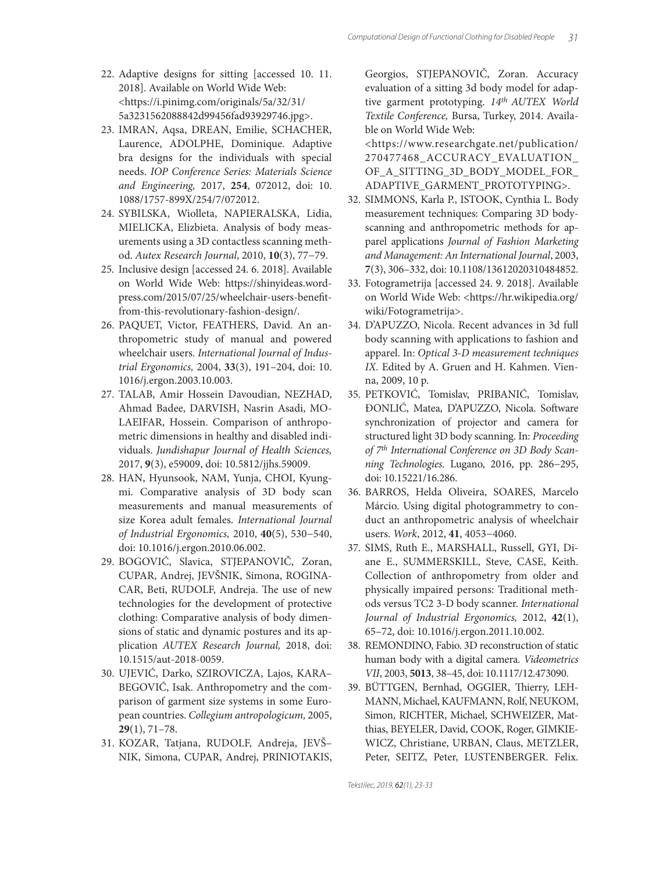- 22. Adaptive designs for sitting [accessed 10. 11. 2018]. Available on World Wide Web: <https://i.pinimg.com/originals/5a/32/31/ 5a3231562088842d99456fad93929746.jpg>.
- 23. IMRAN, Aqsa, DREAN, Emilie, SCHACHER, Laurence, ADOLPHE, Dominique. Adaptive bra designs for the individuals with special needs. *IOP Conference Series: Materials Science and Engineering,* 2017, **254**, 072012, doi: 10. 1088/1757-899X/254/7/072012.
- 24. SYBILSKA, Wiolleta, NAPIERALSKA, Lidia, MIELICKA, Elizbieta. Analysis of body measurements using a 3D contactless scanning method. *Autex Research Journal*, 2010, **10**(3), 77−79.
- 25. Inclusive design [accessed 24. 6. 2018]. Available on World Wide Web: https://shinyideas.wordpress.com/2015/07/25/wheelchair-users-benefitfrom-this-revolutionary-fashion-design/.
- 26. PAQUET, Victor, FEATHERS, David. An anthropometric study of manual and powered wheelchair users. *International Journal of Industrial Ergonomics,* 2004, **33**(3), 191–204, doi: 10. 1016/j.ergon.2003.10.003.
- 27. TALAB, Amir Hossein Davoudian, NEZHAD, Ahmad Badee, DARVISH, Nasrin Asadi, MO-LAEIFAR, Hossein. Comparison of anthropometric dimensions in healthy and disabled individuals. *Jundishapur Journal of Health Sciences,*  2017, **9**(3), e59009, doi: 10.5812/jjhs.59009.
- 28. HAN, Hyunsook, NAM, Yunja, CHOI, Kyungmi. Comparative analysis of 3D body scan measurements and manual measurements of size Korea adult females. *International Journal of Industrial Ergonomics,* 2010, **40**(5), 530−540, doi: 10.1016/j.ergon.2010.06.002.
- 29. BOGOVIĆ, Slavica, STJEPANOVIČ, Zoran, CUPAR, Andrej, JEVŠNIK, Simona, ROGINA-CAR, Beti, RUDOLF, Andreja. The use of new technologies for the development of protective clothing: Comparative analysis of body dimensions of static and dynamic postures and its application *AUTEX Research Journal,* 2018, doi: 10.1515/aut-2018-0059.
- 30. UJEVIĆ, Darko, SZIROVICZA, Lajos, KARA– BEGOVIĆ, Isak. Anthropometry and the comparison of garment size systems in some European countries. *Collegium antropologicum,* 2005, **29**(1), 71–78.
- 31. KOZAR, Tatjana, RUDOLF, Andreja, JEVŠ– NIK, Simona, CUPAR, Andrej, PRINIOTAKIS,

Georgios, STJEPANOVIČ, Zoran. Accuracy evaluation of a sitting 3d body model for adaptive garment prototyping. *14th AUTEX World Textile Conference,* Bursa, Turkey, 2014. Available on World Wide Web:

 <https://www.researchgate.net/publication/ 270477468\_ACCURACY\_EVALUATION\_ OF\_A\_SITTING\_3D\_BODY\_MODEL\_FOR\_ ADAPTIVE\_GARMENT\_PROTOTYPING>.

- 32. SIMMONS, Karla P., ISTOOK, Cynthia L. Body measurement techniques: Comparing 3D bodyscanning and anthropometric methods for apparel applications *Journal of Fashion Marketing and Management: An International Journal*, 2003, **7**(3), 306–332, doi: 10.1108/13612020310484852.
- 33. Fotogrametrija [accessed 24. 9. 2018]. Available on World Wide Web: <https://hr.wikipedia.org/ wiki/Fotogrametrija>.
- 34. D'APUZZO, Nicola. Recent advances in 3d full body scanning with applications to fashion and apparel. In: *Optical 3-D measurement techniques IX.* Edited by A. Gruen and H. Kahmen. Vienna, 2009, 10 p.
- 35. PETKOVIĆ, Tomislav, PRIBANIĆ, Tomislav, ĐONLIĆ, Matea, D'APUZZO, Nicola. Software synchronization of projector and camera for structured light 3D body scanning. In: *Proceeding of 7th International Conference on 3D Body Scanning Technologies.* Lugano, 2016, pp. 286−295, doi: 10.15221/16.286.
- 36. BARROS, Helda Oliveira, SOARES, Marcelo Márcio. Using digital photogrammetry to conduct an anthropometric analysis of wheelchair users. *Work*, 2012, **41**, 4053−4060.
- 37. SIMS, Ruth E., MARSHALL, Russell, GYI, Diane E., SUMMERSKILL, Steve, CASE, Keith. Collection of anthropometry from older and physically impaired persons: Traditional methods versus TC2 3-D body scanner. *International Journal of Industrial Ergonomics,* 2012, **42**(1), 65–72, doi: 10.1016/j.ergon.2011.10.002.
- 38. REMONDINO, Fabio. 3D reconstruction of static human body with a digital camera. *Videometrics VII*, 2003, **5013**, 38–45, doi: 10.1117/12.473090.
- 39. BÜTTGEN, Bernhad, OGGIER, Thierry, LEH-MANN, Michael, KAUFMANN, Rolf, NEUKOM, Simon, RICHTER, Michael, SCHWEIZER, Matthias, BEYELER, David, COOK, Roger, GIMKIE-WICZ, Christiane, URBAN, Claus, METZLER, Peter, SEITZ, Peter, LUSTENBERGER. Felix.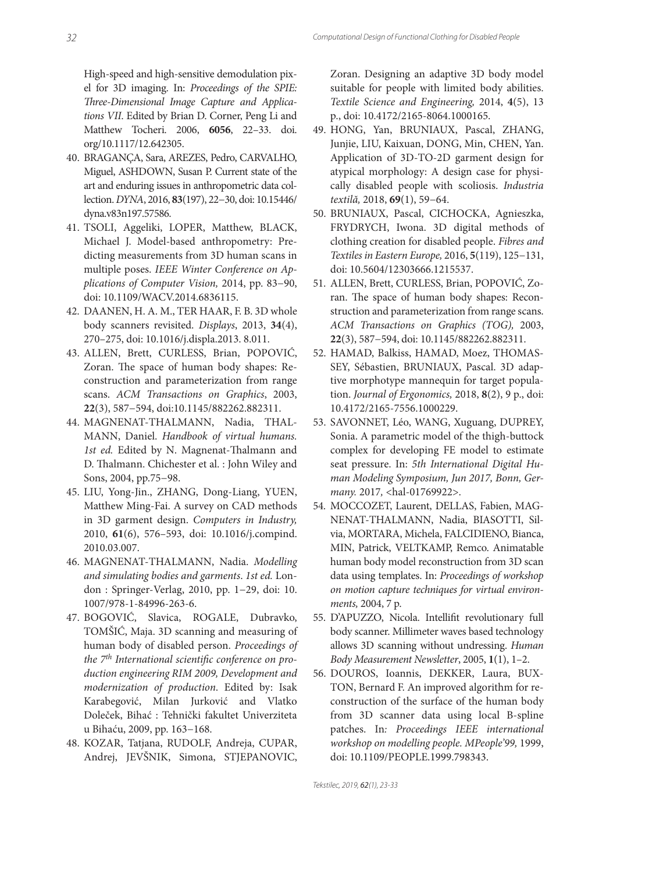High-speed and high-sensitive demodulation pixel for 3D imaging. In: *Proceedings of the SPIE: Th ree-Dimensional Image Capture and Applications VII*. Edited by Brian D. Corner, Peng Li and Matthew Tocheri. 2006, **6056**, 22–33. doi. org/10.1117/12.642305.

- 40. BRAGANÇA, Sara, AREZES, Pedro, CARVALHO, Miguel, ASHDOWN, Susan P. Current state of the art and enduring issues in anthropometric data collection. *DYNA*, 2016, **83**(197), 22−30, doi: 10.15446/ dyna.v83n197.57586.
- 41. TSOLI, Aggeliki, LOPER, Matthew, BLACK, Michael J. Model-based anthropometry: Predicting measurements from 3D human scans in multiple poses. *IEEE Winter Conference on Applications of Computer Vision,* 2014, pp. 83−90, doi: 10.1109/WACV.2014.6836115.
- 42. DAANEN, H. A. M., TER HAAR, F. B. 3D whole body scanners revisited. *Displays*, 2013, **34**(4), 270–275, doi: 10.1016/j.displa.2013. 8.011.
- 43. ALLEN, Brett, CURLESS, Brian, POPOVIĆ, Zoran. The space of human body shapes: Reconstruction and parameterization from range scans. *ACM Transactions on Graphics*, 2003, **22**(3), 587−594, doi:10.1145/882262.882311.
- 44. MAGNENAT-THALMANN, Nadia, THAL-MANN, Daniel. *Handbook of virtual humans. 1st ed.* Edited by N. Magnenat-Thalmann and D. Thalmann. Chichester et al. : John Wiley and Sons, 2004, pp.75−98.
- 45. LIU, Yong-Jin., ZHANG, Dong-Liang, YUEN, Matthew Ming-Fai. A survey on CAD methods in 3D garment design. *Computers in Industry,* 2010, **61**(6), 576–593, doi: 10.1016/j.compind. 2010.03.007.
- 46. MAGNENAT-THALMANN, Nadia. *Modelling and simulating bodies and garments*. *1st ed.* London : Springer-Verlag, 2010, pp. 1−29, doi: 10. 1007/978-1-84996-263-6.
- 47. BOGOVIĆ, Slavica, ROGALE, Dubravko, TOMŠIĆ, Maja. 3D scanning and measuring of human body of disabled person. *Proceedings of*  the 7<sup>th</sup> International scientific conference on pro*duction engineering RIM 2009, Development and modernization of production*. Edited by: Isak Karabegović, Milan Jurković and Vlatko Doleček, Bihać : Tehnički fakultet Univerziteta u Bihaću, 2009, pp. 163−168.
- 48. KOZAR, Tatjana, RUDOLF, Andreja, CUPAR, Andrej, JEVŠNIK, Simona, STJEPANOVIC,

Zoran. Designing an adaptive 3D body model suitable for people with limited body abilities. *Textile Science and Engineering,* 2014, **4**(5), 13 p., doi: 10.4172/2165-8064.1000165.

- 49. HONG, Yan, BRUNIAUX, Pascal, ZHANG, Junjie, LIU, Kaixuan, DONG, Min, CHEN, Yan. Application of 3D-TO-2D garment design for atypical morphology: A design case for physically disabled people with scoliosis. *Industria textilă,* 2018, **69**(1), 59−64.
- 50. BRUNIAUX, Pascal, CICHOCKA, Agnieszka, FRYDRYCH, Iwona. 3D digital methods of clothing creation for disabled people. *Fibres and Textiles in Eastern Europe,* 2016, **5**(119), 125−131, doi: 10.5604/12303666.1215537.
- 51. ALLEN, Brett, CURLESS, Brian, POPOVIĆ, Zoran. The space of human body shapes: Reconstruction and parameterization from range scans. *ACM Transactions on Graphics (TOG),* 2003, **22**(3), 587−594, doi: 10.1145/882262.882311.
- 52. HAMAD, Balkiss, HAMAD, Moez, THOMAS-SEY, Sébastien, BRUNIAUX, Pascal. 3D adaptive morphotype mannequin for target population. *Journal of Ergonomics,* 2018, **8**(2), 9 p., doi: 10.4172/2165-7556.1000229.
- 53. SAVONNET, Léo, WANG, Xuguang, DUPREY, Sonia. A parametric model of the thigh-buttock complex for developing FE model to estimate seat pressure. In: *5th International Digital Human Modeling Symposium, Jun 2017, Bonn, Germany.* 2017*,* <hal-01769922>.
- 54. MOCCOZET, Laurent, DELLAS, Fabien, MAG-NENAT-THALMANN, Nadia, BIASOTTI, Silvia, MORTARA, Michela, FALCIDIENO, Bianca, MIN, Patrick, VELTKAMP, Remco. Animatable human body model reconstruction from 3D scan data using templates. In: *Proceedings of workshop on motion capture techniques for virtual environments,* 2004, 7 p.
- 55. D'APUZZO, Nicola. Intellifit revolutionary full body scanner. Millimeter waves based technology allows 3D scanning without undressing. *Human Body Measurement Newsletter*, 2005, **1**(1), 1–2.
- 56. DOUROS, Ioannis, DEKKER, Laura, BUX-TON, Bernard F. An improved algorithm for reconstruction of the surface of the human body from 3D scanner data using local B-spline patches. In*: Proceedings IEEE international workshop on modelling people. MPeople'99,* 1999, doi: 10.1109/PEOPLE.1999.798343.